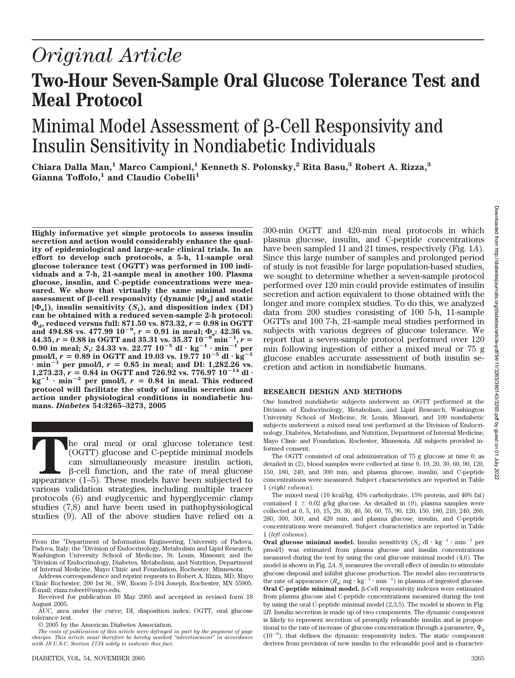# *Original Article*

# **Two-Hour Seven-Sample Oral Glucose Tolerance Test and Meal Protocol**

# Minimal Model Assessment of  $\beta$ -Cell Responsivity and Insulin Sensitivity in Nondiabetic Individuals

**Chiara Dalla Man,1 Marco Campioni,1 Kenneth S. Polonsky,2 Rita Basu,3 Robert A. Rizza,3** Gianna Toffolo,<sup>1</sup> and Claudio Cobelli<sup>1</sup>

**Highly informative yet simple protocols to assess insulin secretion and action would considerably enhance the quality of epidemiological and large-scale clinical trials. In an effort to develop such protocols, a 5-h, 11-sample oral glucose tolerance test (OGTT) was performed in 100 individuals and a 7-h, 21-sample meal in another 100. Plasma glucose, insulin, and C-peptide concentrations were measured. We show that virtually the same minimal model**  $a$ ssessment of  $\beta$ -cell responsivity (dynamic  $[\Phi_{\rm d}]$  and static  $[\Phi_{\rm s}]$ ), insulin sensitivity  $(S_i)$ , and disposition index (DI) **can be obtained with a reduced seven-sample 2-h protocol:**  $\Phi_a$ , reduced versus full: 871.50 vs. 873.32,  $r = 0.98$  in OGTT and 494.88 vs. 477.99  $10^{-9}$ ,  $r = 0.91$  in meal;  $\Phi_s$ : 42.36 vs.  $44.35, r = 0.88$  in OGTT and  $35.31$  vs.  $35.37 10^{-9}$  min<sup>-1</sup>,  $r =$ **0.90 in meal;**  $S_i$ : 24.33 vs. 22.77  $10^{-5}$  dl·kg<sup>-1</sup>·min<sup>-1'</sup> per **pmol/l,**  $r = 0.89$  in OGTT and 19.03 vs. 19.77  $10^{-5}$  dl  $\cdot$   $\text{kg}^{-1}$  $\frac{1}{2}$  min<sup>-1</sup> per pmol/l,  $r = 0.85$  in meal; and DI: 1,282.26 vs. 1,273.23,  $r = 0.84$  in OGTT and 726.92 vs. 776.97  $10^{-14}$  dl·  $kg^{-1}$   $\cdot$  min<sup>-2</sup> per pmol/l,  $r = 0.84$  in meal. This reduced **protocol will facilitate the study of insulin secretion and action under physiological conditions in nondiabetic humans.** *Diabetes* **54:3265–3273, 2005**

The oral meal or oral glucose tolerance test<br>
(OGTT) glucose and C-peptide minimal models<br>
can simultaneously measure insulin action,<br>
β-cell function, and the rate of meal glucose<br>
appearance (1–5). These models have bee (OGTT) glucose and C-peptide minimal models can simultaneously measure insulin action,  $\beta$ -cell function, and the rate of meal glucose various validation strategies, including multiple tracer protocols (6) and euglycemic and hyperglycemic clamp studies (7,8) and have been used in pathophysiological studies (9). All of the above studies have relied on a

© 2005 by the American Diabetes Association.

of study is not feasible for large population-based studies, we sought to determine whether a seven-sample protocol performed over 120 min could provide estimates of insulin secretion and action equivalent to those obtained with the longer and more complex studies. To do this, we analyzed data from 200 studies consisting of 100 5-h, 11-sample OGTTs and 100 7-h, 21-sample meal studies performed in subjects with various degrees of glucose tolerance. We report that a seven-sample protocol performed over 120 min following ingestion of either a mixed meal or 75 g glucose enables accurate assessment of both insulin secretion and action in nondiabetic humans. **RESEARCH DESIGN AND METHODS**

300-min OGTT and 420-min meal protocols in which plasma glucose, insulin, and C-peptide concentrations have been sampled 11 and 21 times, respectively (Fig. 1*A*). Since this large number of samples and prolonged period

One hundred nondiabetic subjects underwent an OGTT performed at the Division of Endocrinology, Metabolism, and Lipid Research, Washington University School of Medicine, St. Louis, Missouri, and 100 nondiabetic subjects underwent a mixed meal test performed at the Division of Endocrinology, Diabetes, Metabolism, and Nutrition, Department of Internal Medicine, Mayo Clinic and Foundation, Rochester, Minnesota. All subjects provided informed consent.

The OGTT consisted of oral administration of 75 g glucose at time 0; as detailed in (2), blood samples were collected at time 0, 10, 20, 30, 60, 90, 120, 150, 180, 240, and 300 min, and plasma glucose, insulin, and C-peptide concentrations were measured. Subject characteristics are reported in Table 1 (*right column*).

The mixed meal (10 kcal/kg, 45% carbohydrate, 15% protein, and 40% fat) contained  $1 \pm 0.02$  g/kg glucose. As detailed in (9), plasma samples were collected at 0, 5, 10, 15, 20, 30, 40, 50, 60, 75, 90, 120, 150, 180, 210, 240, 260, 280, 300, 360, and 420 min, and plasma glucose, insulin, and C-peptide concentrations were measured. Subject characteristics are reported in Table 1 (*left column*).

**Oral glucose minimal model.** Insulin sensitivity  $(S_i; \mathrm{dl} \cdot \mathrm{kg}^{-1} \cdot \mathrm{min}^{-1} \text{ per})$ pmol/l) was estimated from plasma glucose and insulin concentrations measured during the test by using the oral glucose minimal model (4,6). The model is shown in Fig. 2*A*. *S*<sup>i</sup> measures the overall effect of insulin to stimulate glucose disposal and inhibit glucose production. The model also reconstructs the rate of appearance  $(R_a; mg \cdot \text{kg}^{-1} \cdot \text{min}^{-1})$  in plasma of ingested glucose. **Oral C-peptide minimal model.** β-Cell responsivity indexes were estimated from plasma glucose and C-peptide concentrations measured during the test by using the oral C-peptide minimal model (2,3,5). The model is shown in Fig. 2*B*. Insulin secretion is made up of two components. The dynamic component is likely to represent secretion of promptly releasable insulin and is proportional to the rate of increase of glucose concentration through a parameter,  $\Phi_{\rm d}$  $(10^{-9})$ , that defines the dynamic responsivity index. The static component derives from provision of new insulin to the releasable pool and is character-

From the <sup>1</sup>Department of Information Engineering, University of Padova, Padova, Italy; the <sup>2</sup>Division of Endocrinology, Metabolism and Lipid Research, Washington University School of Medicine, St. Louis, Missouri; and the 3 Division of Endocrinology, Diabetes, Metabolism, and Nutrition, Department of Internal Medicine, Mayo Clinic and Foundation, Rochester, Minnesota.

Address correspondence and reprint requests to Robert A. Rizza, MD, Mayo Clinic Rochester, 200 1st St., SW, Room 5-194 Joseph, Rochester, MN 55905. E-mail: rizza.robert@mayo.edu.

Received for publication 10 May 2005 and accepted in revised form 18 August 2005.

AUC, area under the curve; DI, disposition index; OGTT, oral glucose tolerance test.

*The costs of publication of this article were defrayed in part by the payment of page charges. This article must therefore be hereby marked "advertisement" in accordance with 18 U.S.C. Section 1734 solely to indicate this fact.*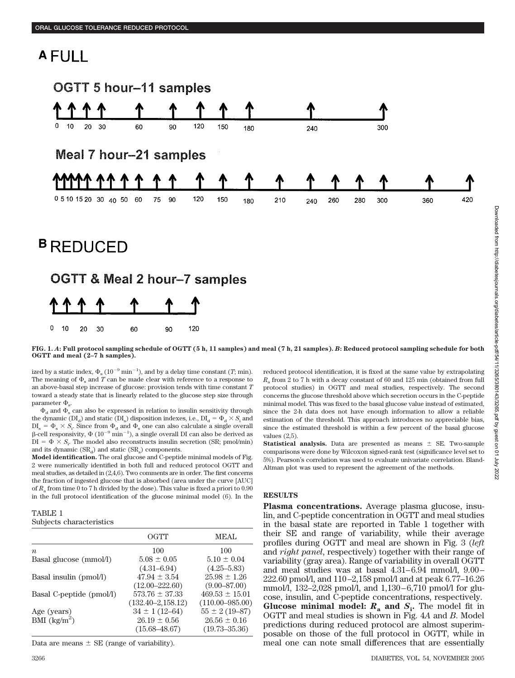# **AFULL**



**FIG. 1.** *A***: Full protocol sampling schedule of OGTT (5 h, 11 samples) and meal (7 h, 21 samples).** *B***: Reduced protocol sampling schedule for both OGTT and meal (2–7 h samples).**

ized by a static index,  $\Phi_{\rm s}$  (10<sup>-9</sup> min<sup>-1</sup>), and by a delay time constant (*T*; min). The meaning of  $\Phi_s$  and *T* can be made clear with reference to a response to an above-basal step increase of glucose: provision tends with time constant *T* toward a steady state that is linearly related to the glucose step size through parameter  $\Phi_{s}$ .

 $\Phi_d$  and  $\Phi_s$  can also be expressed in relation to insulin sensitivity through the dynamic (DI<sub>d</sub>) and static (DI<sub>s</sub>) disposition indexes, i.e.,  $DI_d = \Phi_d \times S_i$  and  $DI_s = \Phi_s \times S_i$ . Since from  $\Phi_d$  and  $\Phi_s$  one can also calculate a single overall  $\beta$ -cell responsivity,  $\Phi(10^{-9} \text{ min}^{-1})$ , a single overall DI can also be derived as  $DI = \Phi \times S_i$ . The model also reconstructs insulin secretion (SR; pmol/min) and its dynamic  $(SR_d)$  and static  $(SR_s)$  components.

**Model identification.** The oral glucose and C-peptide minimal models of Fig. 2 were numerically identified in both full and reduced protocol OGTT and meal studies, as detailed in (2,4,6). Two comments are in order. The first concerns the fraction of ingested glucose that is absorbed (area under the curve [AUC] of *R*<sup>a</sup> from time 0 to 7 h divided by the dose). This value is fixed a priori to 0.90 in the full protocol identification of the glucose minimal model (6). In the

#### TABLE 1 Subjects characteristics

|                          | OGTT                   | <b>MEAL</b>         |
|--------------------------|------------------------|---------------------|
| $\boldsymbol{n}$         | 100                    | 100                 |
| Basal glucose (mmol/l)   | $5.08 \pm 0.05$        | $5.10 \pm 0.04$     |
|                          | $(4.31 - 6.94)$        | $(4.25 - 5.83)$     |
| Basal insulin (pmol/l)   | $47.94 \pm 3.54$       | $25.98 \pm 1.26$    |
|                          | $(12.00 - 222.60)$     | $(9.00 - 87.00)$    |
| Basal C-peptide (pmol/l) | $573.76 \pm 37.33$     | $469.53 \pm 15.01$  |
|                          | $(132.40 - 2, 158.12)$ | $(110.00 - 985.00)$ |
| Age (years)              | $34 \pm 1(12 - 64)$    | $55 \pm 2(19 - 87)$ |
| BMI $(kg/m^2)$           | $26.19 \pm 0.56$       | $26.56 \pm 0.16$    |
|                          | $(15.68 - 48.67)$      | $(19.73 - 35.36)$   |

Data are means  $\pm$  SE (range of variability).

reduced protocol identification, it is fixed at the same value by extrapolating *R*<sup>a</sup> from 2 to 7 h with a decay constant of 60 and 125 min (obtained from full protocol studies) in OGTT and meal studies, respectively. The second concerns the glucose threshold above which secretion occurs in the C-peptide minimal model. This was fixed to the basal glucose value instead of estimated, since the 2-h data does not have enough information to allow a reliable estimation of the threshold. This approach introduces no appreciable bias, since the estimated threshold is within a few percent of the basal glucose values (2,5).

**Statistical analysis.** Data are presented as means  $\pm$  SE. Two-sample comparisons were done by Wilcoxon signed-rank test (significance level set to 5%). Pearson's correlation was used to evaluate univariate correlation. Bland-Altman plot was used to represent the agreement of the methods.

## **RESULTS**

**Plasma concentrations.** Average plasma glucose, insulin, and C-peptide concentration in OGTT and meal studies in the basal state are reported in Table 1 together with their SE and range of variability, while their average profiles during OGTT and meal are shown in Fig. 3 (*left* and *right panel*, respectively) together with their range of variability (gray area). Range of variability in overall OGTT and meal studies was at basal 4.31–6.94 mmol/l, 9.00– 222.60 pmol/l, and 110–2,158 pmol/l and at peak 6.77–16.26 mmol/l, 132–2,028 pmol/l, and 1,130–6,710 pmol/l for glucose, insulin, and C-peptide concentrations, respectively. **Glucose minimal model:**  $R_a$  and  $S_i$ . The model fit in OGTT and meal studies is shown in Fig. 4*A* and *B*. Model predictions during reduced protocol are almost superimposable on those of the full protocol in OGTT, while in meal one can note small differences that are essentially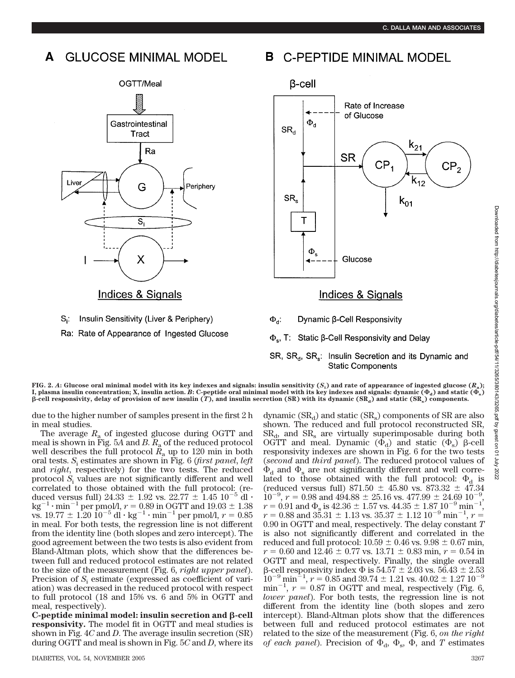# **GLUCOSE MINIMAL MODEL**





#### **C-PEPTIDE MINIMAL MODEL** В



- $\Phi_{\rm d}$ : Dynamic <sub>B</sub>-Cell Responsivity
- $\Phi_{s}$ , T: Static  $\beta$ -Cell Responsivity and Delay

## SR, SR<sub>d</sub>, SR<sub>s</sub>: Insulin Secretion and its Dynamic and **Static Components**

**F**IG. 2.  $A$ : Glucose oral minimal model with its key indexes and signals: insulin sensitivity  $(S_i)$  and rate of appearance of ingested glucose  $(R_{\rm a})$ ; **I**, plasma insulin concentration; X, insulin action. *B*: C-peptide oral minimal model with its key indexes and signals: dynamic ( $\Phi_{\rm a}$ ) and static ( $\Phi_{\rm s}$ )  $\beta$ -cell responsivity, delay of provision of new insulin (*T*), and insulin secretion (SR) with its dynamic (SR<sub>a</sub>) and static (SR<sub>a</sub>) components.

due to the higher number of samples present in the first 2 h in meal studies.

The average  $R_a$  of ingested glucose during OGTT and meal is shown in Fig. 5*A* and *B*. *R*<sup>a</sup> of the reduced protocol well describes the full protocol  $R_a$  up to 120 min in both oral tests. *S*<sup>i</sup> estimates are shown in Fig. 6 (*first panel*, *left* and *right*, respectively) for the two tests. The reduced protocol *S*<sup>i</sup> values are not significantly different and well correlated to those obtained with the full protocol: (reduced versus full)  $24.33 \pm 1.92$  vs.  $22.77 \pm 1.45$   $10^{-5}$  dl ·  $\text{kg}^{-1} \cdot \text{min}^{-1}$  per pmol/l,  $r = 0.89$  in OGTT and  $19.03 \pm 1.38$ vs.  $19.77 \pm 1.20 \, 10^{-5} \, \text{dl} \cdot \text{kg}^{-1} \cdot \text{min}^{-1}$  per pmol/l,  $r = 0.85$ in meal. For both tests, the regression line is not different from the identity line (both slopes and zero intercept). The good agreement between the two tests is also evident from Bland-Altman plots, which show that the differences between full and reduced protocol estimates are not related to the size of the measurement (Fig. 6, *right upper panel*). Precision of  $S_i$  estimate (expressed as coefficient of variation) was decreased in the reduced protocol with respect to full protocol (18 and 15% vs. 6 and 5% in OGTT and meal, respectively).

 $C$ -peptide minimal model: insulin secretion and  $\beta$ -cell **responsivity.** The model fit in OGTT and meal studies is shown in Fig. 4*C* and *D*. The average insulin secretion (SR) during OGTT and meal is shown in Fig. 5*C* and *D*, where its dynamic  $(SR_d)$  and static  $(SR_s)$  components of SR are also shown. The reduced and full protocol reconstructed SR,  $SR<sub>d</sub>$ , and  $SR<sub>s</sub>$  are virtually superimposable during both OGTT and meal. Dynamic  $(\Phi_d)$  and static  $(\Phi_s)$   $\beta$ -cell responsivity indexes are shown in Fig. 6 for the two tests (*second* and *third panel*). The reduced protocol values of  $\Phi_d$  and  $\Phi_s$  are not significantly different and well correlated to those obtained with the full protocol:  $\Phi_d$  is (reduced versus full)  $871.50 \pm 45.80$  vs.  $873.32 \pm 47.34$  $10^{-9}$ ,  $r = 0.98$  and  $494.88 \pm 25.16$  vs.  $477.99 \pm 24.69$   $10^{-9}$ ,  $r = 0.91$  and  $\Phi_s$  is 42.36  $\pm$  1.57 vs. 44.35  $\pm$  1.87 10<sup>-9</sup> min<sup>-1</sup>,  $r = 0.88$  and  $35.31 \pm 1.13$  vs.  $35.37 \pm 1.12$   $10^{-9}$  min<sup>-1</sup>,  $r =$ 0.90 in OGTT and meal, respectively. The delay constant *T* is also not significantly different and correlated in the reduced and full protocol:  $10.59 \pm 0.46$  vs.  $9.98 \pm 0.67$  min,  $r = 0.60$  and  $12.46 \pm 0.77$  vs.  $13.71 \pm 0.83$  min,  $r = 0.54$  in OGTT and meal, respectively. Finally, the single overall β-cell responsivity index  $\Phi$  is 54.57  $\pm$  2.03 vs. 56.43  $\pm$  2.53  $10^{-9}$  min<sup>-1</sup>,  $r = 0.85$  and  $39.74 \pm 1.21$  vs.  $40.02 \pm 1.27$   $10^{-9}$  $min^{-1}$ ,  $r = 0.87$  in OGTT and meal, respectively (Fig. 6, *lower panel*). For both tests, the regression line is not different from the identity line (both slopes and zero intercept). Bland-Altman plots show that the differences between full and reduced protocol estimates are not related to the size of the measurement (Fig. 6, *on the right of each panel*). Precision of  $\Phi_d$ ,  $\Phi_s$ ,  $\tilde{\Phi}$ , and *T* estimates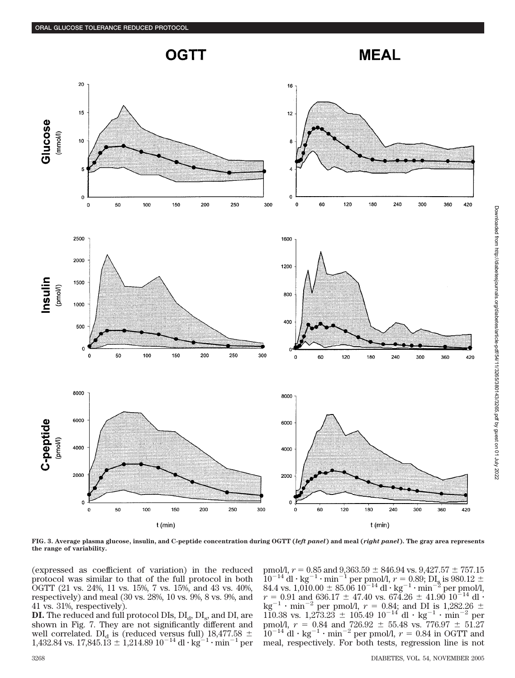





**FIG. 3. Average plasma glucose, insulin, and C-peptide concentration during OGTT (***left panel***) and meal (***right panel***). The gray area represents the range of variability.**

(expressed as coefficient of variation) in the reduced protocol was similar to that of the full protocol in both OGTT (21 vs. 24%, 11 vs. 15%, 7 vs. 15%, and 43 vs. 40%, respectively) and meal (30 vs. 28%, 10 vs. 9%, 8 vs. 9%, and 41 vs. 31%, respectively).

**DI.** The reduced and full protocol DIs,  $DI_{d}$ ,  $DI_{s}$ , and  $DI$ , are shown in Fig. 7. They are not significantly different and well correlated. DI<sub>d</sub> is (reduced versus full)  $18,477.58 \pm 1,432.84$  vs.  $17,845.13 \pm 1,214.89$   $10^{-14}$  dl·kg<sup>-1</sup>·min<sup>-1</sup> per

pmol/l,  $r = 0.85$  and  $9,363.59 \pm 846.94$  vs.  $9,427.57 \pm 757.15$  $10^{-14}$  dl  $\cdot$  kg<sup>-1</sup>  $\cdot$  min<sup>-1</sup> per pmol/l,  $r = 0.89$ ; DI<sub>s</sub> is 980.12  $\pm$ <br>84.4 vs. 1,010.00  $\pm$  85.06 10<sup>-14</sup> dl  $\cdot$  kg<sup>-1</sup> $\cdot$  min<sup>-2</sup> per pmol/l,  $r = 0.91$  and 636.17  $\pm$  47.40 vs. 674.26  $\pm$  41.90 10<sup>-14</sup> dl · kg<sup>-1</sup> · min<sup>-2</sup> per pmol/l,  $r = 0.84$ ; and DI is 1,282.26  $\pm$ <br>110.38 vs. 1,273.23  $\pm$  105.49 10<sup>-14</sup> dl · kg<sup>-1</sup> · min<sup>-2</sup> per pmol/l,  $r = 0.84$  and  $726.92 \pm 55.48$  vs.  $776.97 \pm 51.27$  $10^{-14}$  dl  $\cdot$  kg<sup>-1</sup>  $\cdot$  min<sup>-2</sup> per pmol/l,  $r = 0.84$  in OGTT and meal, respectively. For both tests, regression line is not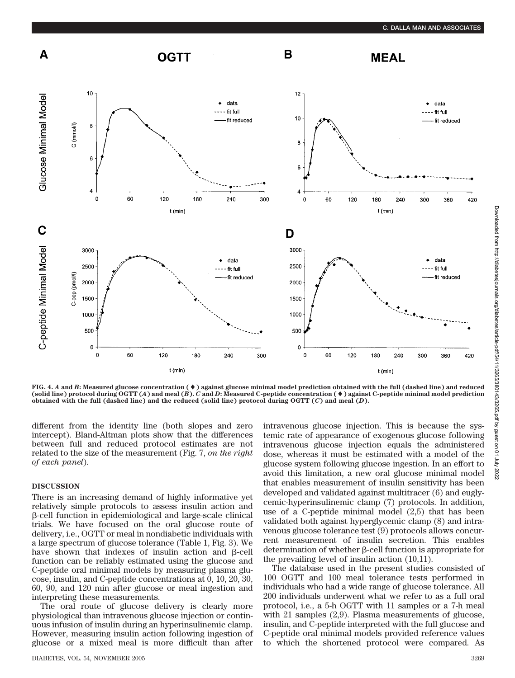

**FIG. 4.** *A* **and** *B***: Measured glucose concentration (**-**) against glucose minimal model prediction obtained with the full (dashed line) and reduced (solid line) protocol during OGTT (***A***) and meal (***B***).** *C* **and** *D***: Measured C-peptide concentration (**-**) against C-peptide minimal model prediction obtained with the full (dashed line) and the reduced (solid line) protocol during OGTT (***C***) and meal (***D***).**

different from the identity line (both slopes and zero intercept). Bland-Altman plots show that the differences between full and reduced protocol estimates are not related to the size of the measurement (Fig. 7, *on the right of each panel*).

### **DISCUSSION**

There is an increasing demand of highly informative yet relatively simple protocols to assess insulin action and -cell function in epidemiological and large-scale clinical trials. We have focused on the oral glucose route of delivery, i.e., OGTT or meal in nondiabetic individuals with a large spectrum of glucose tolerance (Table 1, Fig. 3). We have shown that indexes of insulin action and  $\beta$ -cell function can be reliably estimated using the glucose and C-peptide oral minimal models by measuring plasma glucose, insulin, and C-peptide concentrations at 0, 10, 20, 30, 60, 90, and 120 min after glucose or meal ingestion and interpreting these measurements.

The oral route of glucose delivery is clearly more physiological than intravenous glucose injection or continuous infusion of insulin during an hyperinsulinemic clamp. However, measuring insulin action following ingestion of glucose or a mixed meal is more difficult than after

DIABETES, VOL. 54, NOVEMBER 2005 3269

intravenous glucose injection. This is because the systemic rate of appearance of exogenous glucose following intravenous glucose injection equals the administered dose, whereas it must be estimated with a model of the glucose system following glucose ingestion. In an effort to avoid this limitation, a new oral glucose minimal model that enables measurement of insulin sensitivity has been developed and validated against multitracer (6) and euglycemic-hyperinsulinemic clamp (7) protocols. In addition, use of a C-peptide minimal model (2,5) that has been validated both against hyperglycemic clamp (8) and intravenous glucose tolerance test (9) protocols allows concurrent measurement of insulin secretion. This enables  $d$  determination of whether  $\beta$ -cell function is appropriate for the prevailing level of insulin action (10,11).

The database used in the present studies consisted of 100 OGTT and 100 meal tolerance tests performed in individuals who had a wide range of glucose tolerance. All 200 individuals underwent what we refer to as a full oral protocol, i.e., a 5-h OGTT with 11 samples or a 7-h meal with 21 samples (2,9). Plasma measurements of glucose, insulin, and C-peptide interpreted with the full glucose and C-peptide oral minimal models provided reference values to which the shortened protocol were compared. As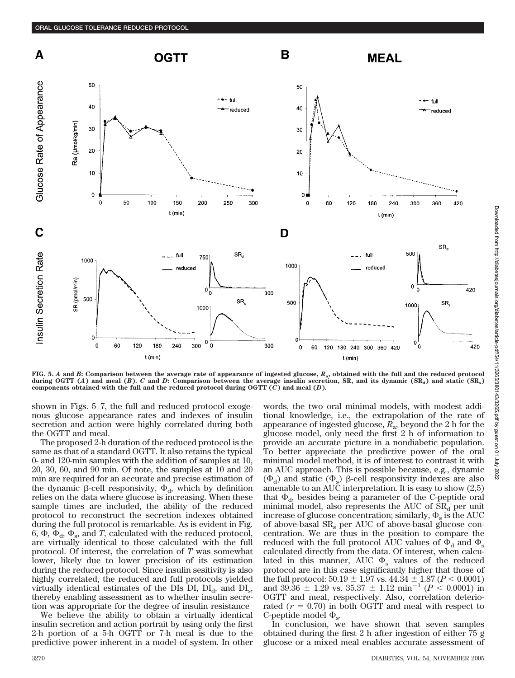

**FIG. 5.** *A* **and** *B***: Comparison between the average rate of appearance of ingested glucose,** *R***a, obtained with the full and the reduced protocol** during OGTT (*A*) and meal (*B*). *C* and *D*: Comparison between the average insulin secretion, SR, and its dynamic (SR<sub>a</sub>) and static (SR<sub>s</sub>) **components obtained with the full and the reduced protocol during OGTT (***C***) and meal (***D***).**

shown in Figs. 5–7, the full and reduced protocol exogenous glucose appearance rates and indexes of insulin secretion and action were highly correlated during both the OGTT and meal.

The proposed 2-h duration of the reduced protocol is the same as that of a standard OGTT. It also retains the typical 0- and 120-min samples with the addition of samples at 10, 20, 30, 60, and 90 min. Of note, the samples at 10 and 20 min are required for an accurate and precise estimation of the dynamic  $\beta$ -cell responsivity,  $\Phi_{d}$ , which by definition relies on the data where glucose is increasing. When these sample times are included, the ability of the reduced protocol to reconstruct the secretion indexes obtained during the full protocol is remarkable. As is evident in Fig. 6,  $\Phi$ ,  $\Phi$ <sub>d</sub>,  $\Phi$ <sub>s</sub>, and *T*, calculated with the reduced protocol, are virtually identical to those calculated with the full protocol. Of interest, the correlation of *T* was somewhat lower, likely due to lower precision of its estimation during the reduced protocol. Since insulin sesitivity is also highly correlated, the reduced and full protocols yielded virtually identical estimates of the DIs DI,  $DI_{d}$ , and  $DI_{s}$ , thereby enabling assessment as to whether insulin secretion was appropriate for the degree of insulin resistance

We believe the ability to obtain a virtually identical insulin secretion and action portrait by using only the first 2-h portion of a 5-h OGTT or 7-h meal is due to the predictive power inherent in a model of system. In other words, the two oral minimal models, with modest additional knowledge, i.e., the extrapolation of the rate of appearance of ingested glucose, *R*a, beyond the 2 h for the glucose model, only need the first 2 h of information to provide an accurate picture in a nondiabetic population. To better appreciate the predictive power of the oral minimal model method, it is of interest to contrast it with an AUC approach. This is possible because, e.g., dynamic  $(\Phi_d)$  and static  $(\Phi_s)$   $\beta$ -cell responsivity indexes are also amenable to an AUC interpretation. It is easy to show (2,5) that  $\Phi_{d}$ , besides being a parameter of the C-peptide oral minimal model, also represents the AUC of  $SR<sub>d</sub>$  per unit increase of glucose concentration; similarly,  $\Phi_s$  is the AUC of above-basal  $SR<sub>s</sub>$  per AUC of above-basal glucose concentration. We are thus in the position to compare the reduced with the full protocol AUC values of  $\Phi_d$  and  $\Phi_s$ calculated directly from the data. Of interest, when calculated in this manner, AUC  $\Phi_{\rm s}$  values of the reduced protocol are in this case significantly higher that those of the full protocol:  $50.19 \pm 1.97$  vs.  $44.34 \pm 1.87$  ( $P < 0.0001$ ) and 39.36  $\pm$  1.29 vs. 35.37  $\pm$  1.12 min<sup>-1</sup> ( $P \le 0.0001$ ) in OGTT and meal, respectively. Also, correlation deteriorated  $(r = 0.70)$  in both OGTT and meal with respect to C-peptide model  $\Phi_{\rm s}$ .

In conclusion, we have shown that seven samples obtained during the first 2 h after ingestion of either 75 g glucose or a mixed meal enables accurate assessment of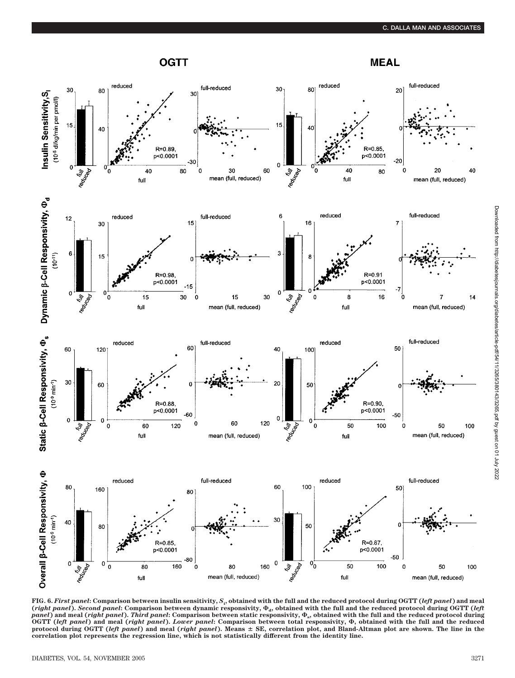## **OGTT**

**MEAL** 





**FIG. 6.** *First panel***: Comparison between insulin sensitivity,** *S***<sup>i</sup> , obtained with the full and the reduced protocol during OGTT (***left panel***) and meal** (*right panel*). *Second panel*: Comparison between dynamic responsivity,  $\Phi_d$ , obtained with the full and the reduced protocol during OGTT (*left*<br>*panel*) and meal (*right panel*). *Third panel*: Comparison between stat protocol during OGTT (left panel) and meal (right panel). Means ± SE, correlation plot, and Bland-Altman plot are shown. The line in the<br>correlation plot represents the regression line, which is not statistically different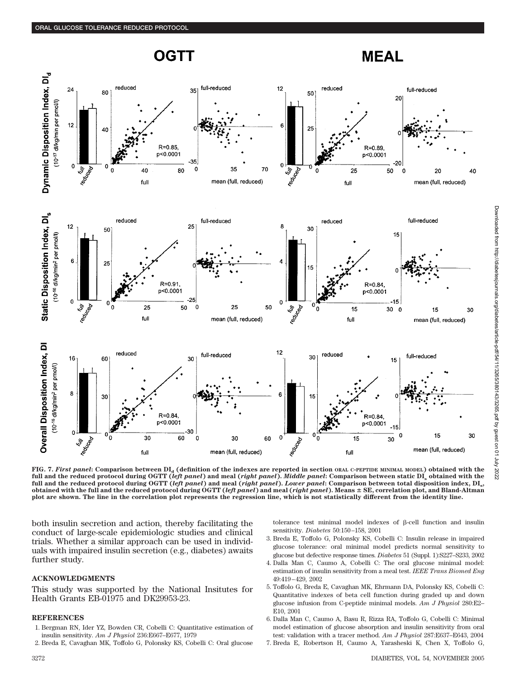





FIG. 7. *First panel*: Comparison between  $DI_a$  (definition of the indexes are reported in section ORAL C-PEPTIDE MINIMAL MODEL) obtained with the **full and the reduced protocol during OGTT (***left panel***) and meal (***right panel***).** *Middle panel***: Comparison between static DIs obtained with the full and the reduced protocol during OGTT (***left panel***) and meal (***right panel***).** *Lower panel***: Comparison between total disposition index, DIs, obtained with the full and the reduced protocol during OGTT (***left panel***) and meal (***right panel***). Means SE, correlation plot, and Bland-Altman plot are shown. The line in the correlation plot represents the regression line, which is not statistically different from the identity line.**

both insulin secretion and action, thereby facilitating the conduct of large-scale epidemiologic studies and clinical trials. Whether a similar approach can be used in individuals with impaired insulin secretion (e.g., diabetes) awaits further study.

### **ACKNOWLEDGMENTS**

This study was supported by the National Insitutes for Health Grants EB-01975 and DK29953-23.

### **REFERENCES**

- 1. Bergman RN, Ider YZ, Bowden CR, Cobelli C: Quantitative estimation of insulin sensitivity. *Am J Physiol* 236:E667–E677, 1979
- 2. Breda E, Cavaghan MK, Toffolo G, Polonsky KS, Cobelli C: Oral glucose

tolerance test minimal model indexes of  $\beta$ -cell function and insulin sensitivity. *Diabetes* 50:150–158, 2001

- 3. Breda E, Toffolo G, Polonsky KS, Cobelli C: Insulin release in impaired glucose tolerance: oral minimal model predicts normal sensitivity to glucose but defective response times. *Diabetes* 51 (Suppl. 1):S227–S233, 2002
- 4. Dalla Man C, Caumo A, Cobelli C: The oral glucose minimal model: estimation of insulin sensitivity from a meal test. *IEEE Trans Biomed Eng* 49:419–429, 2002
- 5. Toffolo G, Breda E, Cavaghan MK, Ehrmann DA, Polonsky KS, Cobelli C: Quantitative indexes of beta cell function during graded up and down glucose infusion from C-peptide minimal models. *Am J Physiol* 280:E2– E10, 2001
- 6. Dalla Man C, Caumo A, Basu R, Rizza RA, Toffolo G, Cobelli C: Minimal model estimation of glucose absorption and insulin sensitivity from oral test: validation with a tracer method. *Am J Physiol* 287:E637–E643, 2004
- 7. Breda E, Robertson H, Caumo A, Yarasheski K, Chen X, Toffolo G,